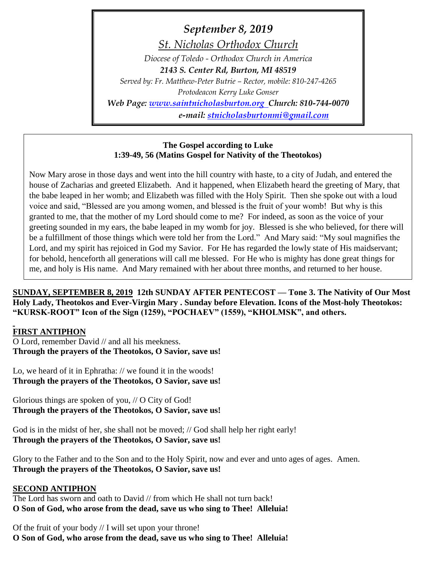*September 8, 2019 St. Nicholas Orthodox Church Diocese of Toledo - Orthodox Church in America 2143 S. Center Rd, Burton, MI 48519 Served by: Fr. Matthew-Peter Butrie – Rector, mobile: 810-247-4265 Protodeacon Kerry Luke Gonser Web Page: [www.saintnicholasburton.org](http://www.saintnicholasburton.org/) Church: 810-744-0070 e-mail: [stnicholasburtonmi@gmail.com](mailto:stnicholasburtonmi@gmail.com)*

#### **The Gospel according to Luke 1:39-49, 56 (Matins Gospel for Nativity of the Theotokos)**

Now Mary arose in those days and went into the hill country with haste, to a city of Judah, and entered the house of Zacharias and greeted Elizabeth. And it happened, when Elizabeth heard the greeting of Mary, that the babe leaped in her womb; and Elizabeth was filled with the Holy Spirit. Then she spoke out with a loud voice and said, "Blessed are you among women, and blessed is the fruit of your womb! But why is this granted to me, that the mother of my Lord should come to me? For indeed, as soon as the voice of your greeting sounded in my ears, the babe leaped in my womb for joy. Blessed is she who believed, for there will be a fulfillment of those things which were told her from the Lord." And Mary said: "My soul magnifies the Lord, and my spirit has rejoiced in God my Savior. For He has regarded the lowly state of His maidservant; for behold, henceforth all generations will call me blessed. For He who is mighty has done great things for me, and holy is His name. And Mary remained with her about three months, and returned to her house.

**SUNDAY, SEPTEMBER 8, 2019 12th SUNDAY AFTER PENTECOST — Tone 3. The Nativity of Our Most Holy Lady, Theotokos and Ever-Virgin Mary . Sunday before Elevation. Icons of the Most-holy Theotokos: "KURSK-ROOT" Icon of the Sign (1259), "POCHAEV" (1559), "KHOLMSK", and others.**

# **FIRST ANTIPHON**

O Lord, remember David // and all his meekness. **Through the prayers of the Theotokos, O Savior, save us!**

Lo, we heard of it in Ephratha: // we found it in the woods! **Through the prayers of the Theotokos, O Savior, save us!**

Glorious things are spoken of you, // O City of God! **Through the prayers of the Theotokos, O Savior, save us!**

God is in the midst of her, she shall not be moved; // God shall help her right early! **Through the prayers of the Theotokos, O Savior, save us!**

Glory to the Father and to the Son and to the Holy Spirit, now and ever and unto ages of ages. Amen. **Through the prayers of the Theotokos, O Savior, save us!**

# **SECOND ANTIPHON**

The Lord has sworn and oath to David // from which He shall not turn back! **O Son of God, who arose from the dead, save us who sing to Thee! Alleluia!**

Of the fruit of your body // I will set upon your throne! **O Son of God, who arose from the dead, save us who sing to Thee! Alleluia!**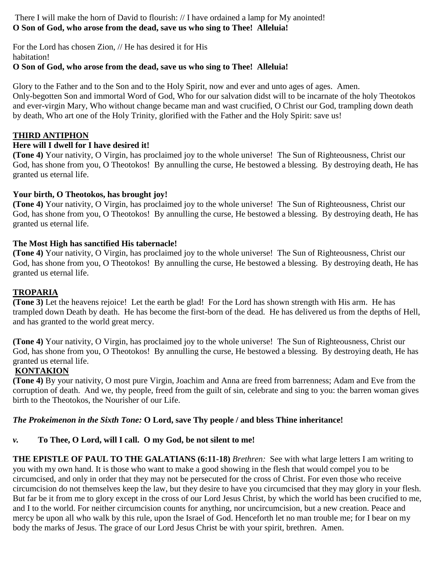There I will make the horn of David to flourish: // I have ordained a lamp for My anointed! **O Son of God, who arose from the dead, save us who sing to Thee! Alleluia!**

For the Lord has chosen Zion, // He has desired it for His habitation! **O Son of God, who arose from the dead, save us who sing to Thee! Alleluia!**

Glory to the Father and to the Son and to the Holy Spirit, now and ever and unto ages of ages. Amen. Only-begotten Son and immortal Word of God, Who for our salvation didst will to be incarnate of the holy Theotokos and ever-virgin Mary, Who without change became man and wast crucified, O Christ our God, trampling down death by death, Who art one of the Holy Trinity, glorified with the Father and the Holy Spirit: save us!

#### **THIRD ANTIPHON**

#### **Here will I dwell for I have desired it!**

**(Tone 4)** Your nativity, O Virgin, has proclaimed joy to the whole universe! The Sun of Righteousness, Christ our God, has shone from you, O Theotokos! By annulling the curse, He bestowed a blessing. By destroying death, He has granted us eternal life.

#### **Your birth, O Theotokos, has brought joy!**

**(Tone 4)** Your nativity, O Virgin, has proclaimed joy to the whole universe! The Sun of Righteousness, Christ our God, has shone from you, O Theotokos! By annulling the curse, He bestowed a blessing. By destroying death, He has granted us eternal life.

#### **The Most High has sanctified His tabernacle!**

**(Tone 4)** Your nativity, O Virgin, has proclaimed joy to the whole universe! The Sun of Righteousness, Christ our God, has shone from you, O Theotokos! By annulling the curse, He bestowed a blessing. By destroying death, He has granted us eternal life.

#### **TROPARIA**

**(Tone 3)** Let the heavens rejoice! Let the earth be glad! For the Lord has shown strength with His arm. He has trampled down Death by death. He has become the first-born of the dead. He has delivered us from the depths of Hell, and has granted to the world great mercy.

**(Tone 4)** Your nativity, O Virgin, has proclaimed joy to the whole universe! The Sun of Righteousness, Christ our God, has shone from you, O Theotokos! By annulling the curse, He bestowed a blessing. By destroying death, He has granted us eternal life.

#### **KONTAKION**

**(Tone 4)** By your nativity, O most pure Virgin, Joachim and Anna are freed from barrenness; Adam and Eve from the corruption of death. And we, thy people, freed from the guilt of sin, celebrate and sing to you: the barren woman gives birth to the Theotokos, the Nourisher of our Life.

#### *The Prokeimenon in the Sixth Tone:* **O Lord, save Thy people / and bless Thine inheritance!**

# *v.* **To Thee, O Lord, will I call. O my God, be not silent to me!**

**THE EPISTLE OF PAUL TO THE GALATIANS (6:11-18)** *Brethren:* See with what large letters I am writing to you with my own hand. It is those who want to make a good showing in the flesh that would compel you to be circumcised, and only in order that they may not be persecuted for the cross of Christ. For even those who receive circumcision do not themselves keep the law, but they desire to have you circumcised that they may glory in your flesh. But far be it from me to glory except in the cross of our Lord Jesus Christ, by which the world has been crucified to me, and I to the world. For neither circumcision counts for anything, nor uncircumcision, but a new creation. Peace and mercy be upon all who walk by this rule, upon the Israel of God. Henceforth let no man trouble me; for I bear on my body the marks of Jesus. The grace of our Lord Jesus Christ be with your spirit, brethren. Amen.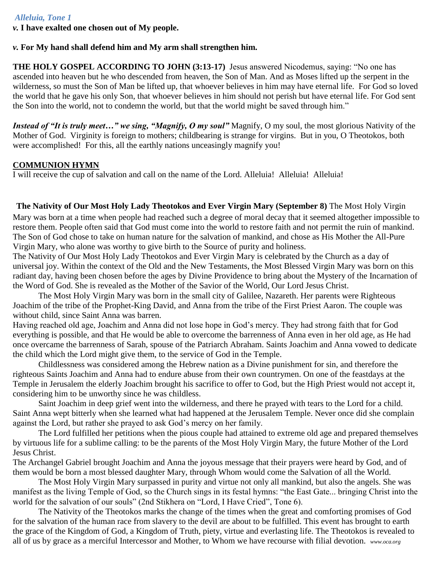#### *Alleluia, Tone 1*

*v.* **I have exalted one chosen out of My people.**

#### *v.* **For My hand shall defend him and My arm shall strengthen him.**

**THE HOLY GOSPEL ACCORDING TO JOHN (3:13-17)** Jesus answered Nicodemus, saying: "No one has ascended into heaven but he who descended from heaven, the Son of Man. And as Moses lifted up the serpent in the wilderness, so must the Son of Man be lifted up, that whoever believes in him may have eternal life. For God so loved the world that he gave his only Son, that whoever believes in him should not perish but have eternal life. For God sent the Son into the world, not to condemn the world, but that the world might be saved through him."

*Instead of "It is truly meet…" we sing, "Magnify, O my soul"* Magnify, O my soul, the most glorious Nativity of the Mother of God. Virginity is foreign to mothers; childbearing is strange for virgins. But in you, O Theotokos, both were accomplished! For this, all the earthly nations unceasingly magnify you!

#### **COMMUNION HYMN**

I will receive the cup of salvation and call on the name of the Lord. Alleluia! Alleluia! Alleluia!

**The Nativity of Our Most Holy Lady Theotokos and Ever Virgin Mary (September 8)** The Most Holy Virgin Mary was born at a time when people had reached such a degree of moral decay that it seemed altogether impossible to restore them. People often said that God must come into the world to restore faith and not permit the ruin of mankind. The Son of God chose to take on human nature for the salvation of mankind, and chose as His Mother the All-Pure Virgin Mary, who alone was worthy to give birth to the Source of purity and holiness.

The Nativity of Our Most Holy Lady Theotokos and Ever Virgin Mary is celebrated by the Church as a day of universal joy. Within the context of the Old and the New Testaments, the Most Blessed Virgin Mary was born on this radiant day, having been chosen before the ages by Divine Providence to bring about the Mystery of the Incarnation of the Word of God. She is revealed as the Mother of the Savior of the World, Our Lord Jesus Christ.

The Most Holy Virgin Mary was born in the small city of Galilee, Nazareth. Her parents were Righteous Joachim of the tribe of the Prophet-King David, and Anna from the tribe of the First Priest Aaron. The couple was without child, since Saint Anna was barren.

Having reached old age, Joachim and Anna did not lose hope in God's mercy. They had strong faith that for God everything is possible, and that He would be able to overcome the barrenness of Anna even in her old age, as He had once overcame the barrenness of Sarah, spouse of the Patriarch Abraham. Saints Joachim and Anna vowed to dedicate the child which the Lord might give them, to the service of God in the Temple.

Childlessness was considered among the Hebrew nation as a Divine punishment for sin, and therefore the righteous Saints Joachim and Anna had to endure abuse from their own countrymen. On one of the feastdays at the Temple in Jerusalem the elderly Joachim brought his sacrifice to offer to God, but the High Priest would not accept it, considering him to be unworthy since he was childless.

Saint Joachim in deep grief went into the wilderness, and there he prayed with tears to the Lord for a child. Saint Anna wept bitterly when she learned what had happened at the Jerusalem Temple. Never once did she complain against the Lord, but rather she prayed to ask God's mercy on her family.

The Lord fulfilled her petitions when the pious couple had attained to extreme old age and prepared themselves by virtuous life for a sublime calling: to be the parents of the Most Holy Virgin Mary, the future Mother of the Lord Jesus Christ.

The Archangel Gabriel brought Joachim and Anna the joyous message that their prayers were heard by God, and of them would be born a most blessed daughter Mary, through Whom would come the Salvation of all the World.

The Most Holy Virgin Mary surpassed in purity and virtue not only all mankind, but also the angels. She was manifest as the living Temple of God, so the Church sings in its festal hymns: "the East Gate... bringing Christ into the world for the salvation of our souls" (2nd Stikhera on "Lord, I Have Cried", Tone 6).

The Nativity of the Theotokos marks the change of the times when the great and comforting promises of God for the salvation of the human race from slavery to the devil are about to be fulfilled. This event has brought to earth the grace of the Kingdom of God, a Kingdom of Truth, piety, virtue and everlasting life. The Theotokos is revealed to all of us by grace as a merciful Intercessor and Mother, to Whom we have recourse with filial devotion. *www.oca.org*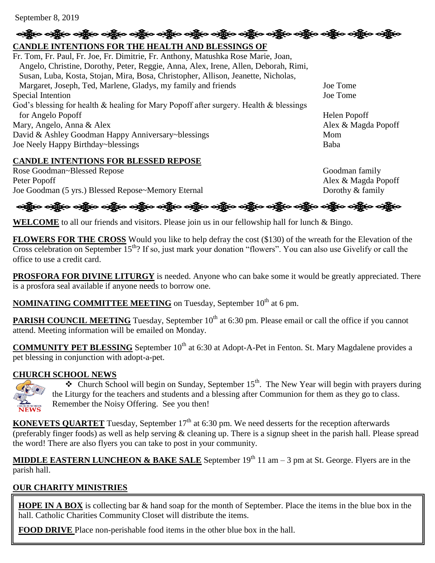September 8, 2019

# ခရွို့က ခရွိက သန္တို့က ခရွိက သို့က သန္တို့က သန္တို့က သန္တို့က သန္တို့က သန္တို့က သန္တို့က သန္တို့က သန္တို့က သန္တ

# **CANDLE INTENTIONS FOR THE HEALTH AND BLESSINGS OF**

Fr. Tom, Fr. Paul, Fr. Joe, Fr. Dimitrie, Fr. Anthony, Matushka Rose Marie, Joan, Angelo, Christine, Dorothy, Peter, Reggie, Anna, Alex, Irene, Allen, Deborah, Rimi, Susan, Luba, Kosta, Stojan, Mira, Bosa, Christopher, Allison, Jeanette, Nicholas, Margaret, Joseph, Ted, Marlene, Gladys, my family and friends Joe Tome Special Intention Joe Tome God's blessing for health & healing for Mary Popoff after surgery. Health & blessings for Angelo Popoff Helen Popoff Mary, Angelo, Anna & Alex Alex & Magda Popoff David & Ashley Goodman Happy Anniversary~blessings Mom Joe Neely Happy Birthday~blessings Baba

#### **CANDLE INTENTIONS FOR BLESSED REPOSE**

Rose Goodman~Blessed Repose Goodman family Peter Popoff Alex & Magda Popoff Joe Goodman (5 yrs.) Blessed Repose~Memory Eternal Dorothy & family

# ခရွိက ခရွိက ခရွိက ခရွိက အိုင်း အိုင်း ခရွိက ခရွိက ခရွိက ခရွိက ခရွိက အိုင်း အိုင်း ခရွိက ခရွိက ခရွိက

WELCOME to all our friends and visitors. Please join us in our fellowship hall for lunch & Bingo.

**FLOWERS FOR THE CROSS** Would you like to help defray the cost (\$130) of the wreath for the Elevation of the Cross celebration on September  $15<sup>th</sup>$ ? If so, just mark your donation "flowers". You can also use Givelify or call the office to use a credit card.

**PROSFORA FOR DIVINE LITURGY** is needed. Anyone who can bake some it would be greatly appreciated. There is a prosfora seal available if anyone needs to borrow one.

**NOMINATING COMMITTEE MEETING** on Tuesday, September 10<sup>th</sup> at 6 pm.

**PARISH COUNCIL MEETING** Tuesday, September 10<sup>th</sup> at 6:30 pm. Please email or call the office if you cannot attend. Meeting information will be emailed on Monday.

**COMMUNITY PET BLESSING** September 10<sup>th</sup> at 6:30 at Adopt-A-Pet in Fenton. St. Mary Magdalene provides a pet blessing in conjunction with adopt-a-pet.

#### **CHURCH SCHOOL NEWS**



 $\bullet$  Church School will begin on Sunday, September 15<sup>th</sup>. The New Year will begin with prayers during the Liturgy for the teachers and students and a blessing after Communion for them as they go to class. Remember the Noisy Offering. See you then!

**KONEVETS QUARTET** Tuesday, September 17<sup>th</sup> at 6:30 pm. We need desserts for the reception afterwards (preferably finger foods) as well as help serving  $\&$  cleaning up. There is a signup sheet in the parish hall. Please spread the word! There are also flyers you can take to post in your community.

**MIDDLE EASTERN LUNCHEON & BAKE SALE** September 19<sup>th</sup> 11 am – 3 pm at St. George. Flyers are in the parish hall.

# **OUR CHARITY MINISTRIES**

**HOPE IN A BOX** is collecting bar & hand soap for the month of September. Place the items in the blue box in the hall. Catholic Charities Community Closet will distribute the items.

**FOOD DRIVE** Place non-perishable food items in the other blue box in the hall.